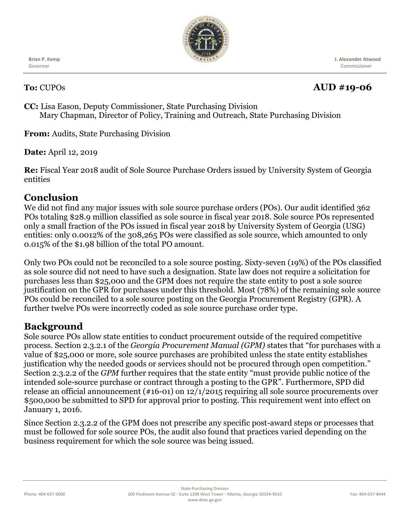

**Brian P. Kemp** Governor

#### **J. Alexander Atwood** Commissioner

# **To:** CUPOs **AUD #19-06**

**CC:** Lisa Eason, Deputy Commissioner, State Purchasing Division Mary Chapman, Director of Policy, Training and Outreach, State Purchasing Division

**From:** Audits, State Purchasing Division

**Date:** April 12, 2019

**Re:** Fiscal Year 2018 audit of Sole Source Purchase Orders issued by University System of Georgia entities

### **Conclusion**

We did not find any major issues with sole source purchase orders (POs). Our audit identified 362 POs totaling \$28.9 million classified as sole source in fiscal year 2018. Sole source POs represented only a small fraction of the POs issued in fiscal year 2018 by University System of Georgia (USG) entities: only 0.0012% of the 308,265 POs were classified as sole source, which amounted to only 0.015% of the \$1.98 billion of the total PO amount.

Only two POs could not be reconciled to a sole source posting. Sixty-seven (19%) of the POs classified as sole source did not need to have such a designation. State law does not require a solicitation for purchases less than \$25,000 and the GPM does not require the state entity to post a sole source justification on the GPR for purchases under this threshold. Most (78%) of the remaining sole source POs could be reconciled to a sole source posting on the Georgia Procurement Registry (GPR). A further twelve POs were incorrectly coded as sole source purchase order type.

## **Background**

Sole source POs allow state entities to conduct procurement outside of the required competitive process. Section 2.3.2.1 of the *Georgia Procurement Manual (GPM)* states that "for purchases with a value of \$25,000 or more, sole source purchases are prohibited unless the state entity establishes justification why the needed goods or services should not be procured through open competition." Section 2.3.2.2 of the *GPM* further requires that the state entity "must provide public notice of the intended sole-source purchase or contract through a posting to the GPR". Furthermore, SPD did release an official announcement (#16-01) on 12/1/2015 requiring all sole source procurements over \$500,000 be submitted to SPD for approval prior to posting. This requirement went into effect on January 1, 2016.

Since Section 2.3.2.2 of the GPM does not prescribe any specific post-award steps or processes that must be followed for sole source POs, the audit also found that practices varied depending on the business requirement for which the sole source was being issued.